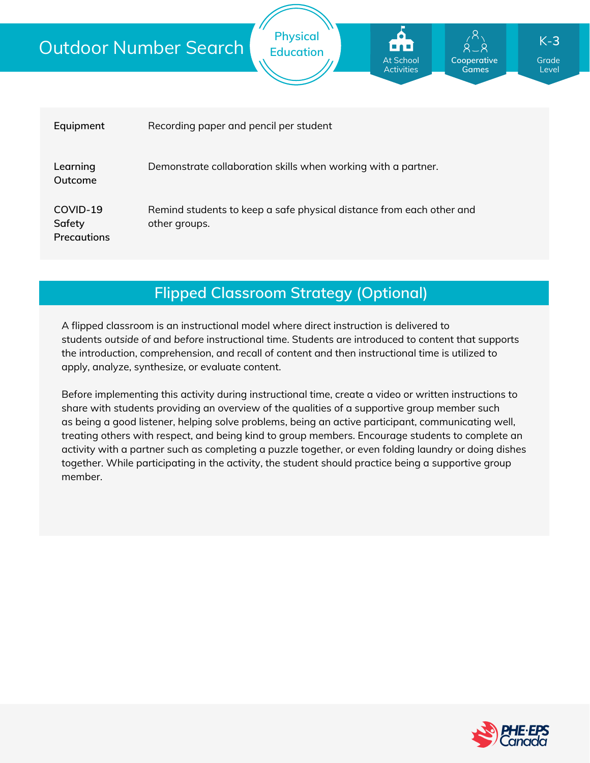| Equipment                                | Recording paper and pencil per student                                                |
|------------------------------------------|---------------------------------------------------------------------------------------|
| Learning<br>Outcome                      | Demonstrate collaboration skills when working with a partner.                         |
| COVID-19<br>Safety<br><b>Precautions</b> | Remind students to keep a safe physical distance from each other and<br>other groups. |

**Physical Education**

**Flipped Classroom Strategy (Optional)**

A flipped classroom is an instructional model where direct instruction is delivered to students *outside of* and *before* instructional time. Students are introduced to content that supports the introduction, comprehension, and recall of content and then instructional time is utilized to apply, analyze, synthesize, or evaluate content.

Before implementing this activity during instructional time, create a video or written instructions to share with students providing an overview of the qualities of a supportive group member such as being a good listener, helping solve problems, being an active participant, communicating well, treating others with respect, and being kind to group members. Encourage students to complete an activity with a partner such as completing a puzzle together, or even folding laundry or doing dishes together. While participating in the activity, the student should practice being a supportive group member.



Grade Level

K-**3**

**Cooperative Games**

At School Activities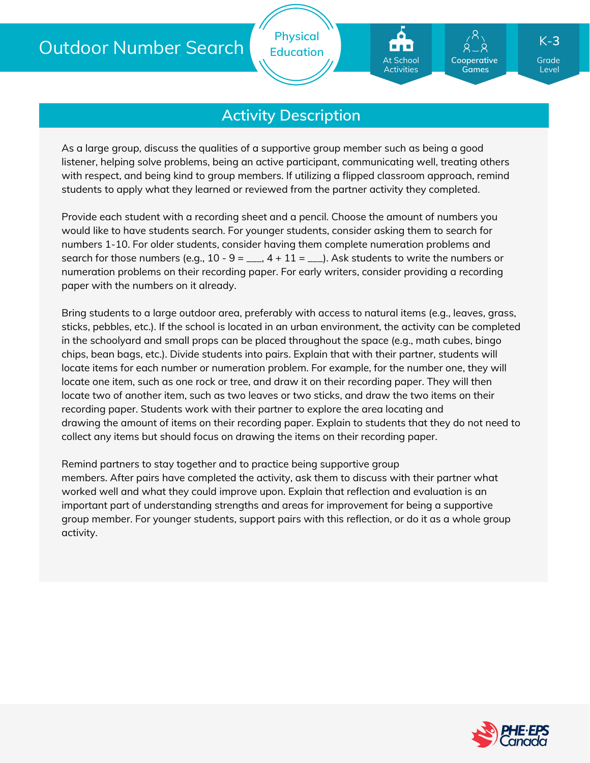**Physical Education**

## **Cooperative** At School Activities

**Games**

Grade K-**3**

Level

## **Activity Description**

As a large group, discuss the qualities of a supportive group member such as being a good listener, helping solve problems, being an active participant, communicating well, treating others with respect, and being kind to group members. If utilizing a flipped classroom approach, remind students to apply what they learned or reviewed from the partner activity they completed.

Provide each student with a recording sheet and a pencil. Choose the amount of numbers you would like to have students search. For younger students, consider asking them to search for numbers 1-10. For older students, consider having them complete numeration problems and search for those numbers (e.g.,  $10 - 9 =$   $\ldots$ ,  $4 + 11 =$   $\ldots$ ). Ask students to write the numbers or numeration problems on their recording paper. For early writers, consider providing a recording paper with the numbers on it already.

Bring students to a large outdoor area, preferably with access to natural items (e.g., leaves, grass, sticks, pebbles, etc.). If the school is located in an urban environment, the activity can be completed in the schoolyard and small props can be placed throughout the space (e.g., math cubes, bingo chips, bean bags, etc.). Divide students into pairs. Explain that with their partner, students will locate items for each number or numeration problem. For example, for the number one, they will locate one item, such as one rock or tree, and draw it on their recording paper. They will then locate two of another item, such as two leaves or two sticks, and draw the two items on their recording paper. Students work with their partner to explore the area locating and drawing the amount of items on their recording paper. Explain to students that they do not need to collect any items but should focus on drawing the items on their recording paper.

Remind partners to stay together and to practice being supportive group members. After pairs have completed the activity, ask them to discuss with their partner what worked well and what they could improve upon. Explain that reflection and evaluation is an important part of understanding strengths and areas for improvement for being a supportive group member. For younger students, support pairs with this reflection, or do it as a whole group activity.

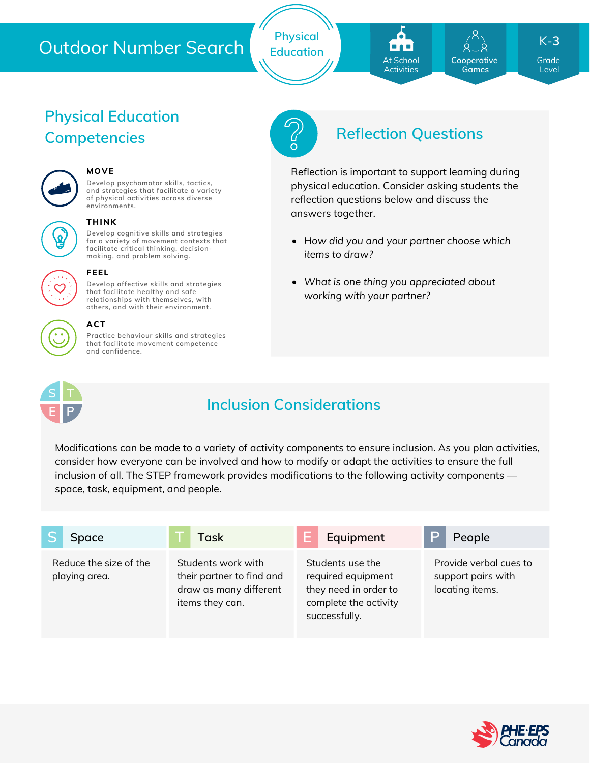**Physical Education** At School **Activities** 

**Cooperative Games**

Grade K-**3**

Level

# **Physical Education**



## **MOVE**

**Develop psychomotor skills, tactics, and strategies that facilitate a variety of physical activities across diverse environments.**



#### **THINK**

**FEEL**

**Develop cognitive skills and strategies for a variety of movement contexts that facilitate critical thinking, decision making, and problem solving.**

**Develop affective skills and strategies that facilitate healthy and safe relationships with themselves, with others, and with their environment.**



## **ACT**

**Practice behaviour skills and strategies that facilitate movement competence and confidence.**



# **Competencies Reflection Questions**

Reflection is important to support learning during physical education. Consider asking students the reflection questions below and discuss the answers together.

- *How did you and your partner choose which items to draw?*
- *What is one thing you appreciated about working with your partner?*



## **Inclusion Considerations**

Modifications can be made to a variety of activity components to ensure inclusion. As you plan activities, consider how everyone can be involved and how to modify or adapt the activities to ensure the full inclusion of all. The STEP framework provides modifications to the following activity components space, task, equipment, and people.

| <b>Space</b>                            | Task                                                                                         | Equipment                                                                                                 | People                                                          |
|-----------------------------------------|----------------------------------------------------------------------------------------------|-----------------------------------------------------------------------------------------------------------|-----------------------------------------------------------------|
| Reduce the size of the<br>playing area. | Students work with<br>their partner to find and<br>draw as many different<br>items they can. | Students use the<br>required equipment<br>they need in order to<br>complete the activity<br>successfully. | Provide verbal cues to<br>support pairs with<br>locating items. |